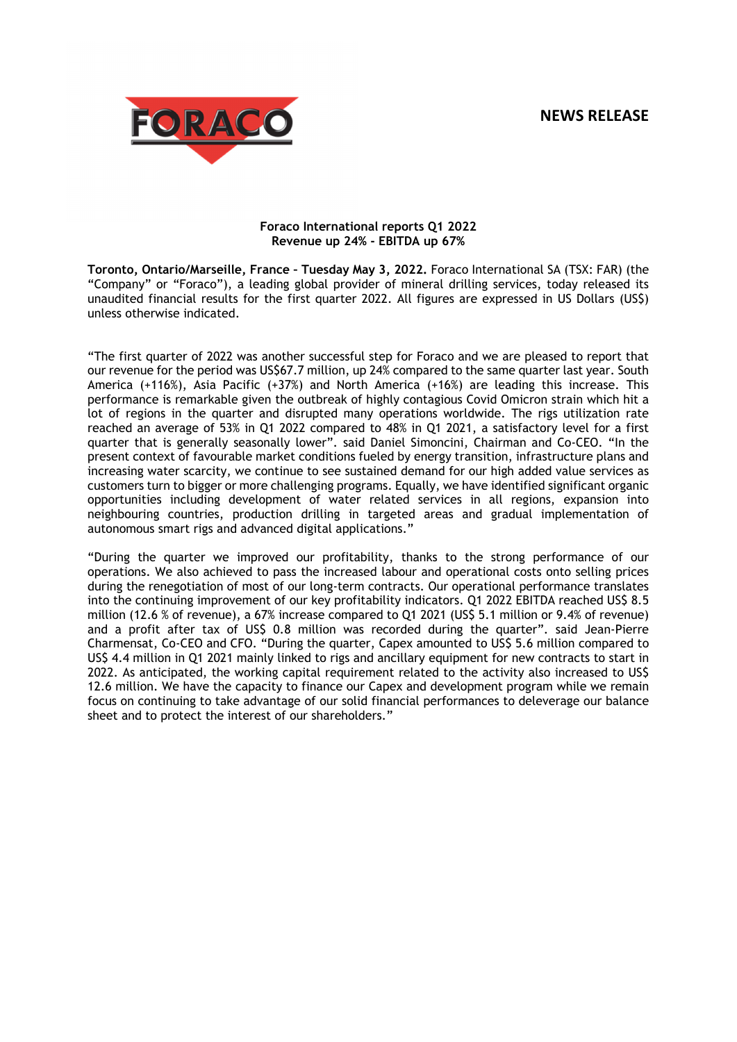# **NEWS RELEASE**



# **Foraco International reports Q1 2022 Revenue up 24% - EBITDA up 67%**

**Toronto, Ontario/Marseille, France – Tuesday May 3, 2022.** Foraco International SA (TSX: FAR) (the "Company" or "Foraco"), a leading global provider of mineral drilling services, today released its unaudited financial results for the first quarter 2022. All figures are expressed in US Dollars (US\$) unless otherwise indicated.

"The first quarter of 2022 was another successful step for Foraco and we are pleased to report that our revenue for the period was US\$67.7 million, up 24% compared to the same quarter last year. South America (+116%), Asia Pacific (+37%) and North America (+16%) are leading this increase. This performance is remarkable given the outbreak of highly contagious Covid Omicron strain which hit a lot of regions in the quarter and disrupted many operations worldwide. The rigs utilization rate reached an average of 53% in Q1 2022 compared to 48% in Q1 2021, a satisfactory level for a first quarter that is generally seasonally lower". said Daniel Simoncini, Chairman and Co-CEO. "In the present context of favourable market conditions fueled by energy transition, infrastructure plans and increasing water scarcity, we continue to see sustained demand for our high added value services as customers turn to bigger or more challenging programs. Equally, we have identified significant organic opportunities including development of water related services in all regions, expansion into neighbouring countries, production drilling in targeted areas and gradual implementation of autonomous smart rigs and advanced digital applications."

"During the quarter we improved our profitability, thanks to the strong performance of our operations. We also achieved to pass the increased labour and operational costs onto selling prices during the renegotiation of most of our long-term contracts. Our operational performance translates into the continuing improvement of our key profitability indicators. Q1 2022 EBITDA reached US\$ 8.5 million (12.6 % of revenue), a 67% increase compared to Q1 2021 (US\$ 5.1 million or 9.4% of revenue) and a profit after tax of US\$ 0.8 million was recorded during the quarter". said Jean-Pierre Charmensat, Co-CEO and CFO. "During the quarter, Capex amounted to US\$ 5.6 million compared to US\$ 4.4 million in Q1 2021 mainly linked to rigs and ancillary equipment for new contracts to start in 2022. As anticipated, the working capital requirement related to the activity also increased to US\$ 12.6 million. We have the capacity to finance our Capex and development program while we remain focus on continuing to take advantage of our solid financial performances to deleverage our balance sheet and to protect the interest of our shareholders."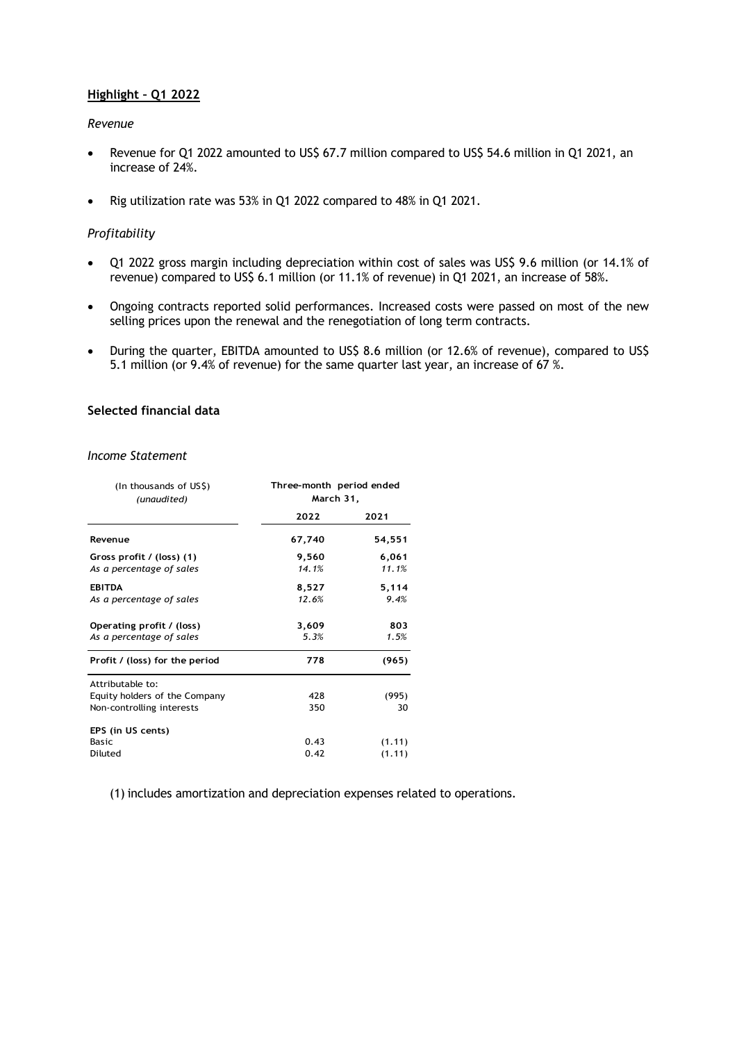# **Highlight – Q1 2022**

#### *Revenue*

- Revenue for Q1 2022 amounted to US\$ 67.7 million compared to US\$ 54.6 million in Q1 2021, an increase of 24%.
- Rig utilization rate was 53% in Q1 2022 compared to 48% in Q1 2021.

# *Profitability*

- Q1 2022 gross margin including depreciation within cost of sales was US\$ 9.6 million (or 14.1% of revenue) compared to US\$ 6.1 million (or 11.1% of revenue) in Q1 2021, an increase of 58%.
- Ongoing contracts reported solid performances. Increased costs were passed on most of the new selling prices upon the renewal and the renegotiation of long term contracts.
- During the quarter, EBITDA amounted to US\$ 8.6 million (or 12.6% of revenue), compared to US\$ 5.1 million (or 9.4% of revenue) for the same quarter last year, an increase of 67 %.

# **Selected financial data**

#### *Income Statement*

| (In thousands of US\$)<br>(unaudited)                                          | Three-month period ended<br>March 31, |                  |
|--------------------------------------------------------------------------------|---------------------------------------|------------------|
|                                                                                | 2022                                  | 2021             |
| Revenue                                                                        | 67,740                                | 54,551           |
| Gross profit / (loss) (1)<br>As a percentage of sales                          | 9,560<br>14.1%                        | 6,061<br>11.1%   |
| <b>EBITDA</b><br>As a percentage of sales                                      | 8,527<br>12.6%                        | 5,114<br>9.4%    |
| Operating profit / (loss)<br>As a percentage of sales                          | 3,609<br>5.3%                         | 803<br>1.5%      |
| Profit / (loss) for the period                                                 | 778                                   | (965)            |
| Attributable to:<br>Equity holders of the Company<br>Non-controlling interests | 428<br>350                            | (995)<br>30      |
| EPS (in US cents)<br><b>Basic</b><br>Diluted                                   | 0.43<br>0.42                          | (1.11)<br>(1.11) |

(1) includes amortization and depreciation expenses related to operations.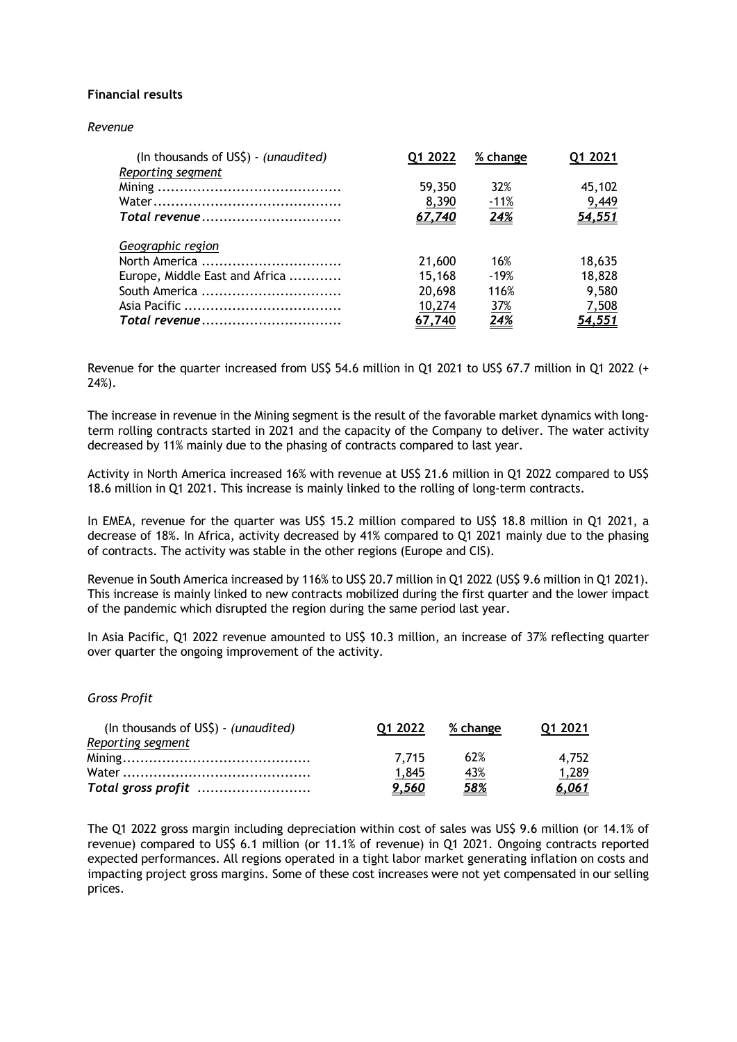# **Financial results**

#### *Revenue*

| (In thousands of US\$) - (unaudited) | Q1 2022 | % change    | Q1 2021 |
|--------------------------------------|---------|-------------|---------|
| Reporting segment                    |         |             |         |
|                                      | 59,350  | 32%         | 45,102  |
|                                      | 8,390   | $-11%$      | 9,449   |
|                                      | 67,740  | 24%         | 54,551  |
|                                      |         |             |         |
| Geographic region                    |         |             |         |
| North America                        | 21,600  | 16%         | 18,635  |
| Europe, Middle East and Africa       | 15,168  | $-19%$      | 18,828  |
| South America                        | 20,698  | 116%        | 9,580   |
|                                      | 10,274  | 37%         | 7,508   |
|                                      | 67,740  | <u> 24%</u> | 54,551  |

Revenue for the quarter increased from US\$ 54.6 million in Q1 2021 to US\$ 67.7 million in Q1 2022 (+ 24%).

The increase in revenue in the Mining segment is the result of the favorable market dynamics with longterm rolling contracts started in 2021 and the capacity of the Company to deliver. The water activity decreased by 11% mainly due to the phasing of contracts compared to last year.

Activity in North America increased 16% with revenue at US\$ 21.6 million in Q1 2022 compared to US\$ 18.6 million in Q1 2021. This increase is mainly linked to the rolling of long-term contracts.

In EMEA, revenue for the quarter was US\$ 15.2 million compared to US\$ 18.8 million in Q1 2021, a decrease of 18%. In Africa, activity decreased by 41% compared to Q1 2021 mainly due to the phasing of contracts. The activity was stable in the other regions (Europe and CIS).

Revenue in South America increased by 116% to US\$ 20.7 million in Q1 2022 (US\$ 9.6 million in Q1 2021). This increase is mainly linked to new contracts mobilized during the first quarter and the lower impact of the pandemic which disrupted the region during the same period last year.

In Asia Pacific, Q1 2022 revenue amounted to US\$ 10.3 million, an increase of 37% reflecting quarter over quarter the ongoing improvement of the activity.

# *Gross Profit*

| (In thousands of US\$) - (unaudited) | 01 2022 | % change   | 01 2021      |
|--------------------------------------|---------|------------|--------------|
| Reporting segment                    |         |            |              |
|                                      | 7.715   | 62%        | 4.752        |
|                                      | 1.845   | <u>43%</u> | 1,289        |
| Total gross profit                   | 9.560   | <u>58%</u> | <u>6,061</u> |

The Q1 2022 gross margin including depreciation within cost of sales was US\$ 9.6 million (or 14.1% of revenue) compared to US\$ 6.1 million (or 11.1% of revenue) in Q1 2021. Ongoing contracts reported expected performances. All regions operated in a tight labor market generating inflation on costs and impacting project gross margins. Some of these cost increases were not yet compensated in our selling prices.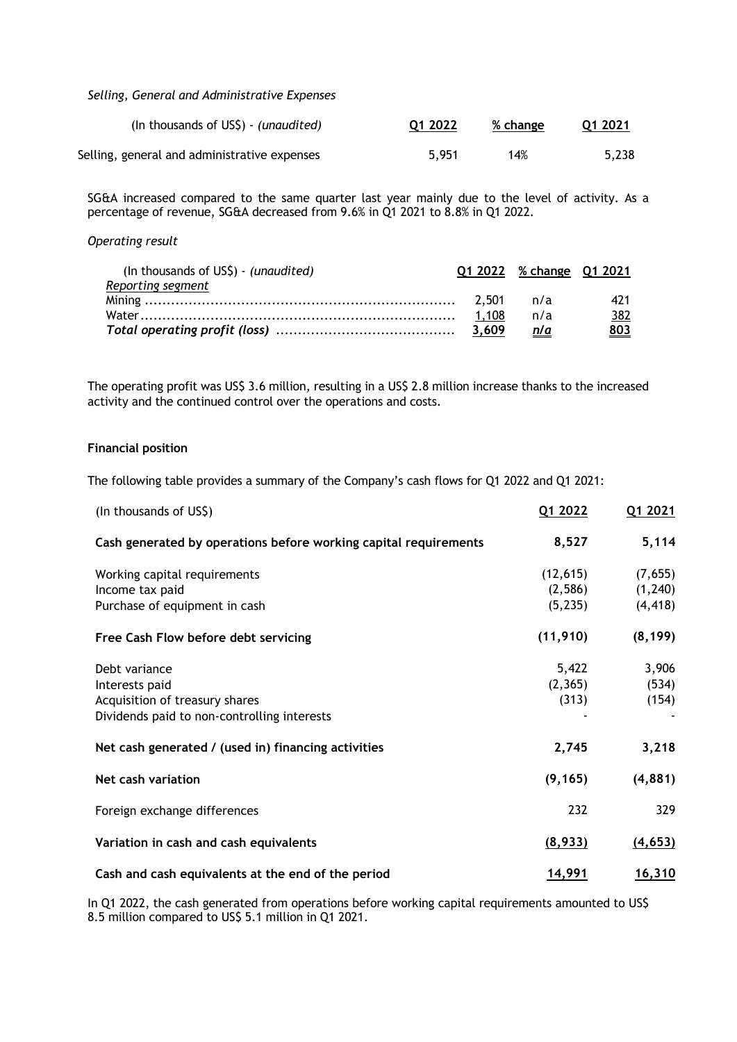*Selling, General and Administrative Expenses* 

| (In thousands of US\$) - (unaudited)         | Q1 2022 | % change | Q1 2021 |
|----------------------------------------------|---------|----------|---------|
| Selling, general and administrative expenses | 5.951   | 14%      | 5,238   |

SG&A increased compared to the same quarter last year mainly due to the level of activity. As a percentage of revenue, SG&A decreased from 9.6% in Q1 2021 to 8.8% in Q1 2022.

*Operating result*

| (In thousands of US\$) - (unaudited) |       | Q1 2022 % change Q1 2021 |            |
|--------------------------------------|-------|--------------------------|------------|
| Reporting segment                    |       |                          |            |
|                                      |       |                          | 421        |
|                                      | 1.108 | n/a                      | <u>382</u> |
|                                      |       | n/a                      | <u>803</u> |

The operating profit was US\$ 3.6 million, resulting in a US\$ 2.8 million increase thanks to the increased activity and the continued control over the operations and costs.

# **Financial position**

The following table provides a summary of the Company's cash flows for Q1 2022 and Q1 2021:

| (In thousands of US\$)                                           | Q1 2022   | Q1 2021  |
|------------------------------------------------------------------|-----------|----------|
| Cash generated by operations before working capital requirements | 8,527     | 5,114    |
| Working capital requirements                                     | (12, 615) | (7,655)  |
| Income tax paid                                                  | (2,586)   | (1, 240) |
| Purchase of equipment in cash                                    | (5, 235)  | (4, 418) |
| Free Cash Flow before debt servicing                             | (11, 910) | (8, 199) |
| Debt variance                                                    | 5,422     | 3,906    |
| Interests paid                                                   | (2, 365)  | (534)    |
| Acquisition of treasury shares                                   | (313)     | (154)    |
| Dividends paid to non-controlling interests                      |           |          |
| Net cash generated / (used in) financing activities              | 2,745     | 3,218    |
| Net cash variation                                               | (9, 165)  | (4,881)  |
| Foreign exchange differences                                     | 232       | 329      |
| Variation in cash and cash equivalents                           | (8,933)   | (4, 653) |
| Cash and cash equivalents at the end of the period               | 14,991    | 16,310   |

In Q1 2022, the cash generated from operations before working capital requirements amounted to US\$ 8.5 million compared to US\$ 5.1 million in Q1 2021.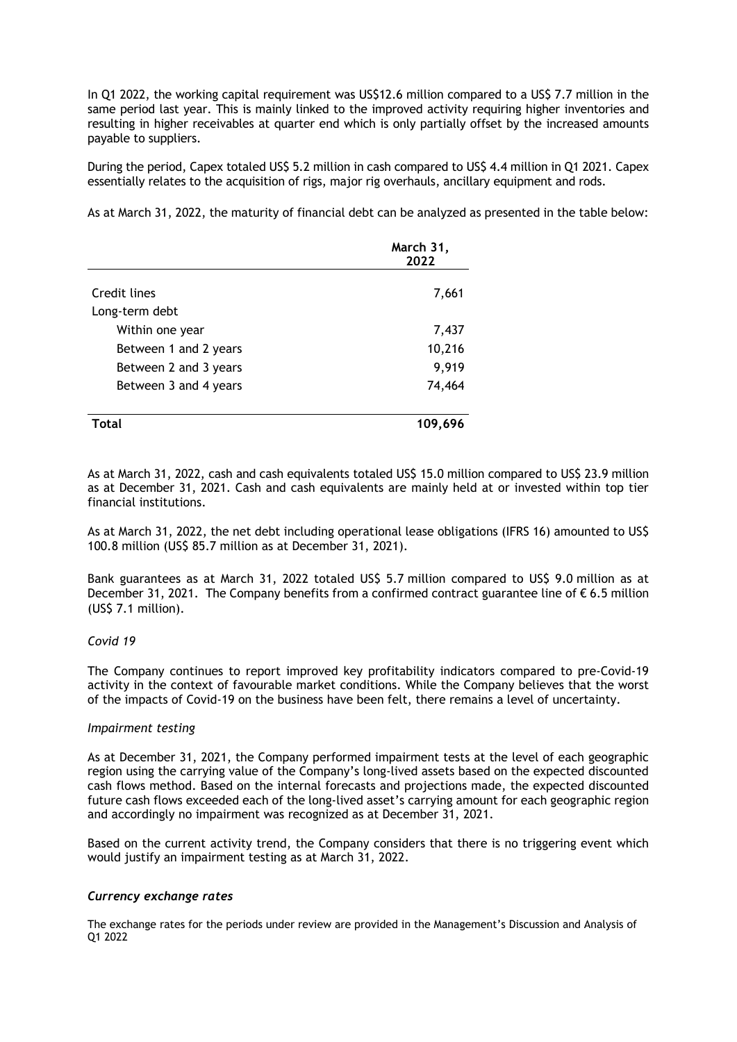In Q1 2022, the working capital requirement was US\$12.6 million compared to a US\$ 7.7 million in the same period last year. This is mainly linked to the improved activity requiring higher inventories and resulting in higher receivables at quarter end which is only partially offset by the increased amounts payable to suppliers.

During the period, Capex totaled US\$ 5.2 million in cash compared to US\$ 4.4 million in Q1 2021. Capex essentially relates to the acquisition of rigs, major rig overhauls, ancillary equipment and rods.

As at March 31, 2022, the maturity of financial debt can be analyzed as presented in the table below:

|                       | March 31,<br>2022 |
|-----------------------|-------------------|
| Credit lines          | 7,661             |
| Long-term debt        |                   |
| Within one year       | 7,437             |
| Between 1 and 2 years | 10,216            |
| Between 2 and 3 years | 9,919             |
| Between 3 and 4 years | 74,464            |
| Total                 | 109,696           |

As at March 31, 2022, cash and cash equivalents totaled US\$ 15.0 million compared to US\$ 23.9 million as at December 31, 2021. Cash and cash equivalents are mainly held at or invested within top tier financial institutions.

As at March 31, 2022, the net debt including operational lease obligations (IFRS 16) amounted to US\$ 100.8 million (US\$ 85.7 million as at December 31, 2021).

Bank guarantees as at March 31, 2022 totaled US\$ 5.7 million compared to US\$ 9.0 million as at December 31, 2021. The Company benefits from a confirmed contract guarantee line of  $\epsilon$  6.5 million (US\$ 7.1 million).

# *Covid 19*

The Company continues to report improved key profitability indicators compared to pre-Covid-19 activity in the context of favourable market conditions. While the Company believes that the worst of the impacts of Covid-19 on the business have been felt, there remains a level of uncertainty.

# *Impairment testing*

As at December 31, 2021, the Company performed impairment tests at the level of each geographic region using the carrying value of the Company's long-lived assets based on the expected discounted cash flows method. Based on the internal forecasts and projections made, the expected discounted future cash flows exceeded each of the long-lived asset's carrying amount for each geographic region and accordingly no impairment was recognized as at December 31, 2021.

Based on the current activity trend, the Company considers that there is no triggering event which would justify an impairment testing as at March 31, 2022.

# *Currency exchange rates*

The exchange rates for the periods under review are provided in the Management's Discussion and Analysis of Q1 2022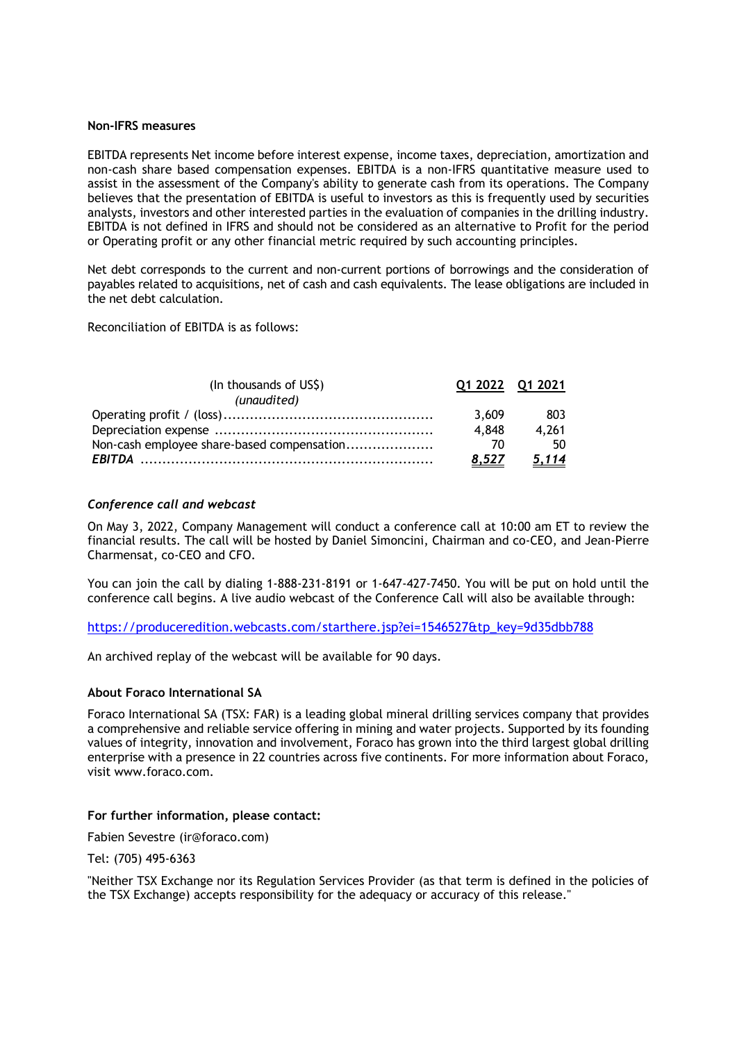#### **Non-IFRS measures**

EBITDA represents Net income before interest expense, income taxes, depreciation, amortization and non-cash share based compensation expenses. EBITDA is a non-IFRS quantitative measure used to assist in the assessment of the Company's ability to generate cash from its operations. The Company believes that the presentation of EBITDA is useful to investors as this is frequently used by securities analysts, investors and other interested parties in the evaluation of companies in the drilling industry. EBITDA is not defined in IFRS and should not be considered as an alternative to Profit for the period or Operating profit or any other financial metric required by such accounting principles.

Net debt corresponds to the current and non-current portions of borrowings and the consideration of payables related to acquisitions, net of cash and cash equivalents. The lease obligations are included in the net debt calculation.

Reconciliation of EBITDA is as follows:

| (In thousands of US\$)                     | 01 2022 01 2021 |              |
|--------------------------------------------|-----------------|--------------|
| (unaudited)                                |                 |              |
|                                            | 3.609           | 803          |
|                                            | 4.848           | 4.261        |
| Non-cash employee share-based compensation | 70              | -50          |
|                                            | 8.527           | <u>5,114</u> |

# *Conference call and webcast*

On May 3, 2022, Company Management will conduct a conference call at 10:00 am ET to review the financial results. The call will be hosted by Daniel Simoncini, Chairman and co-CEO, and Jean-Pierre Charmensat, co-CEO and CFO.

You can join the call by dialing 1-888-231-8191 or 1-647-427-7450. You will be put on hold until the conference call begins. A live audio webcast of the Conference Call will also be available through:

https://produceredition.webcasts.com/starthere.jsp?ei=1546527&tp\_key=9d35dbb788

An archived replay of the webcast will be available for 90 days.

# **About Foraco International SA**

Foraco International SA (TSX: FAR) is a leading global mineral drilling services company that provides a comprehensive and reliable service offering in mining and water projects. Supported by its founding values of integrity, innovation and involvement, Foraco has grown into the third largest global drilling enterprise with a presence in 22 countries across five continents. For more information about Foraco, visit www.foraco.com.

#### **For further information, please contact:**

Fabien Sevestre (ir@foraco.com)

Tel: (705) 495-6363

"Neither TSX Exchange nor its Regulation Services Provider (as that term is defined in the policies of the TSX Exchange) accepts responsibility for the adequacy or accuracy of this release."